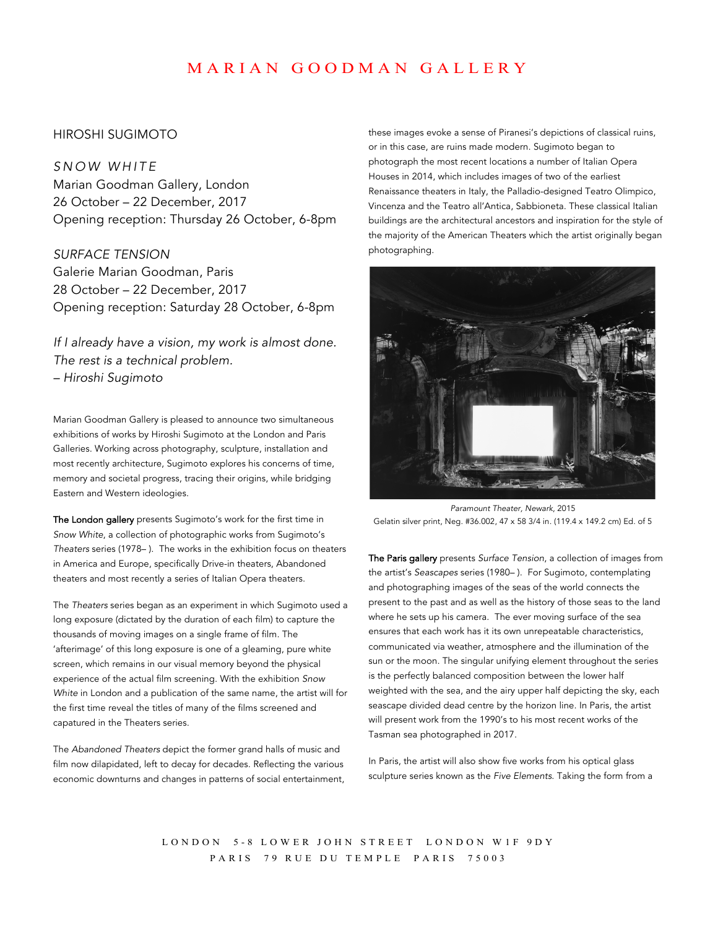# MARIAN GOODMAN GALLERY

### HIROSHI SUGIMOTO

*SNOW WHITE* Marian Goodman Gallery, London 26 October – 22 December, 2017 Opening reception: Thursday 26 October, 6-8pm

*SURFACE TENSION* Galerie Marian Goodman, Paris 28 October – 22 December, 2017 Opening reception: Saturday 28 October, 6-8pm

*If I already have a vision, my work is almost done. The rest is a technical problem. – Hiroshi Sugimoto*

Marian Goodman Gallery is pleased to announce two simultaneous exhibitions of works by Hiroshi Sugimoto at the London and Paris Galleries. Working across photography, sculpture, installation and most recently architecture, Sugimoto explores his concerns of time, memory and societal progress, tracing their origins, while bridging Eastern and Western ideologies.

The London gallery presents Sugimoto's work for the first time in *Snow White*, a collection of photographic works from Sugimoto's *Theaters* series (1978– ). The works in the exhibition focus on theaters in America and Europe, specifically Drive-in theaters, Abandoned theaters and most recently a series of Italian Opera theaters.

The *Theaters* series began as an experiment in which Sugimoto used a long exposure (dictated by the duration of each film) to capture the thousands of moving images on a single frame of film. The 'afterimage' of this long exposure is one of a gleaming, pure white screen, which remains in our visual memory beyond the physical experience of the actual film screening. With the exhibition *Snow White* in London and a publication of the same name, the artist will for the first time reveal the titles of many of the films screened and capatured in the Theaters series.

The *Abandoned Theaters* depict the former grand halls of music and film now dilapidated, left to decay for decades. Reflecting the various economic downturns and changes in patterns of social entertainment, these images evoke a sense of Piranesi's depictions of classical ruins, or in this case, are ruins made modern. Sugimoto began to photograph the most recent locations a number of Italian Opera Houses in 2014, which includes images of two of the earliest Renaissance theaters in Italy, the Palladio-designed Teatro Olimpico, Vincenza and the Teatro all'Antica, Sabbioneta. These classical Italian buildings are the architectural ancestors and inspiration for the style of the majority of the American Theaters which the artist originally began photographing.



*Paramount Theater, Newark*, 2015 Gelatin silver print, Neg. #36.002, 47 x 58 3/4 in. (119.4 x 149.2 cm) Ed. of 5

The Paris gallery presents *Surface Tension*, a collection of images from the artist's *Seascapes* series (1980– ). For Sugimoto, contemplating and photographing images of the seas of the world connects the present to the past and as well as the history of those seas to the land where he sets up his camera. The ever moving surface of the sea ensures that each work has it its own unrepeatable characteristics, communicated via weather, atmosphere and the illumination of the sun or the moon. The singular unifying element throughout the series is the perfectly balanced composition between the lower half weighted with the sea, and the airy upper half depicting the sky, each seascape divided dead centre by the horizon line. In Paris, the artist will present work from the 1990's to his most recent works of the Tasman sea photographed in 2017.

In Paris, the artist will also show five works from his optical glass sculpture series known as the *Five Elements*. Taking the form from a

LONDON 5 - 8 LOWER JOHN STREET LONDON W1F 9DY PARIS 79 RUE DU TEMPLE PARIS 75003